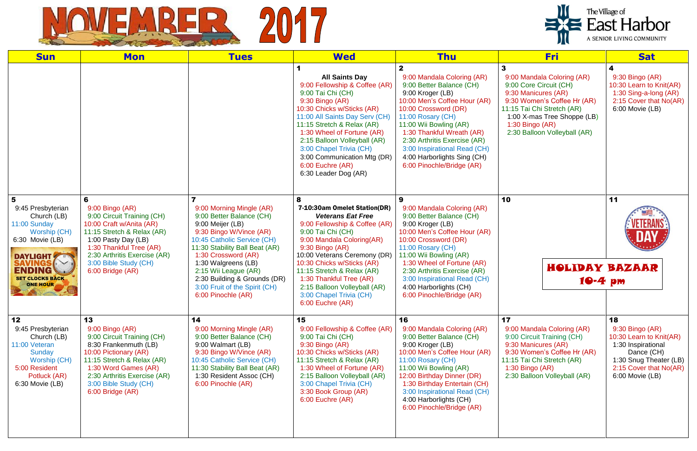



| <b>Sun</b>                                                                                                                                                                           | <b>Mon</b>                                                                                                                                                                                                                               | <b>Tues</b>                                                                                                                                                                                                                                                                                                                       | <b>Wed</b>                                                                                                                                                                                                                                                                                                                                                                | <b>Thu</b>                                                                                                                                                                                                                                                                                                                                                 | <u>Fri</u>                                                                                                                                                                                                                        | <b>Sat</b>                                                                                                                                     |
|--------------------------------------------------------------------------------------------------------------------------------------------------------------------------------------|------------------------------------------------------------------------------------------------------------------------------------------------------------------------------------------------------------------------------------------|-----------------------------------------------------------------------------------------------------------------------------------------------------------------------------------------------------------------------------------------------------------------------------------------------------------------------------------|---------------------------------------------------------------------------------------------------------------------------------------------------------------------------------------------------------------------------------------------------------------------------------------------------------------------------------------------------------------------------|------------------------------------------------------------------------------------------------------------------------------------------------------------------------------------------------------------------------------------------------------------------------------------------------------------------------------------------------------------|-----------------------------------------------------------------------------------------------------------------------------------------------------------------------------------------------------------------------------------|------------------------------------------------------------------------------------------------------------------------------------------------|
|                                                                                                                                                                                      |                                                                                                                                                                                                                                          |                                                                                                                                                                                                                                                                                                                                   | <b>All Saints Day</b><br>9:00 Fellowship & Coffee (AR)<br>9:00 Tai Chi (CH)<br>9:30 Bingo (AR)<br>10:30 Chicks w/Sticks (AR)<br>11:00 All Saints Day Serv (CH)<br>11:15 Stretch & Relax (AR)<br>1:30 Wheel of Fortune (AR)<br>2:15 Balloon Volleyball (AR)<br>3:00 Chapel Trivia (CH)<br>3:00 Communication Mtg (DR)<br>6:00 Euchre (AR)<br>6:30 Leader Dog (AR)          | $\mathbf{2}$<br>9:00 Mandala Coloring (AR)<br>9:00 Better Balance (CH)<br>9:00 Kroger (LB)<br>10:00 Men's Coffee Hour (AR)<br>10:00 Crossword (DR)<br>11:00 Rosary (CH)<br>11:00 Wii Bowling (AR)<br>1:30 Thankful Wreath (AR)<br>2:30 Arthritis Exercise (AR)<br>3:00 Inspirational Read (CH)<br>4:00 Harborlights Sing (CH)<br>6:00 Pinochle/Bridge (AR) | 3<br>9:00 Mandala Coloring (AR)<br>9:00 Core Circuit (CH)<br>9:30 Manicures (AR)<br>9:30 Women's Coffee Hr (AR)<br>11:15 Tai Chi Stretch (AR)<br>1:00 X-mas Tree Shoppe (LB)<br>1:30 Bingo $(AR)$<br>2:30 Balloon Volleyball (AR) | 4<br>$9:30$ Bingo (AR)<br>10:30 Learn to Knit<br>1:30 Sing-a-long (<br>2:15 Cover that N<br>6:00 Movie (LB)                                    |
| 5<br>9:45 Presbyterian<br>Church (LB)<br>11:00 Sunday<br>Worship (CH)<br>6:30 Movie (LB)<br><b>DAYLIGHT</b><br><b>SAVINGS</b><br>ENDING<br><b>SET CLOCKS BACK</b><br><b>ONE HOUR</b> | 9:00 Bingo (AR)<br>9:00 Circuit Training (CH)<br>10:00 Craft w/Anita (AR)<br>11:15 Stretch & Relax (AR)<br>1:00 Pasty Day (LB)<br>1:30 Thankful Tree (AR)<br>2:30 Arthritis Exercise (AR)<br>3:00 Bible Study (CH)<br>6:00 Bridge (AR)   | 9:00 Morning Mingle (AR)<br>9:00 Better Balance (CH)<br>9:00 Meijer (LB)<br>9:30 Bingo W/Vince (AR)<br>10:45 Catholic Service (CH)<br>11:30 Stability Ball Beat (AR)<br>1:30 Crossword (AR)<br>1:30 Walgreens (LB)<br>2:15 Wii League (AR)<br>2:30 Building & Grounds (DR)<br>3:00 Fruit of the Spirit (CH)<br>6:00 Pinochle (AR) | 8<br>7-10:30am Omelet Station(DR)<br><b>Veterans Eat Free</b><br>9:00 Fellowship & Coffee (AR)<br>9:00 Tai Chi (CH)<br>9:00 Mandala Coloring(AR)<br>9:30 Bingo (AR)<br>10:00 Veterans Ceremony (DR)<br>10:30 Chicks w/Sticks (AR)<br>11:15 Stretch & Relax (AR)<br>1:30 Thankful Tree (AR)<br>2:15 Balloon Volleyball (AR)<br>3:00 Chapel Trivia (CH)<br>6:00 Euchre (AR) | 9:00 Mandala Coloring (AR)<br>9:00 Better Balance (CH)<br>9:00 Kroger (LB)<br>10:00 Men's Coffee Hour (AR)<br>10:00 Crossword (DR)<br>11:00 Rosary (CH)<br>11:00 Wii Bowling (AR)<br>1:30 Wheel of Fortune (AR)<br>2:30 Arthritis Exercise (AR)<br>3:00 Inspirational Read (CH)<br>4:00 Harborlights (CH)<br>6:00 Pinochle/Bridge (AR)                     | 10<br>10-4 pm                                                                                                                                                                                                                     | 11<br><b>HOLIDAY BAZAAR</b>                                                                                                                    |
| 12<br>9:45 Presbyterian<br>Church (LB)<br>11:00 Veteran<br>Sunday<br>Worship (CH)<br>5:00 Resident<br>Potluck (AR)<br>6:30 Movie (LB)                                                | 13<br>9:00 Bingo (AR)<br>9:00 Circuit Training (CH)<br>8:30 Frankenmuth (LB)<br>10:00 Pictionary (AR)<br>11:15 Stretch & Relax (AR)<br>1:30 Word Games (AR)<br>2:30 Arthritis Exercise (AR)<br>3:00 Bible Study (CH)<br>6:00 Bridge (AR) | 14<br>9:00 Morning Mingle (AR)<br>9:00 Better Balance (CH)<br>9:00 Walmart (LB)<br>9:30 Bingo W/Vince (AR)<br>10:45 Catholic Service (CH)<br>11:30 Stability Ball Beat (AR)<br>1:30 Resident Assoc (CH)<br>6:00 Pinochle (AR)                                                                                                     | 15<br>9:00 Fellowship & Coffee (AR)<br>9:00 Tai Chi (CH)<br>$9:30$ Bingo (AR)<br>10:30 Chicks w/Sticks (AR)<br>11:15 Stretch & Relax (AR)<br>1:30 Wheel of Fortune (AR)<br>2:15 Balloon Volleyball (AR)<br>3:00 Chapel Trivia (CH)<br>3:30 Book Group (AR)<br>6:00 Euchre (AR)                                                                                            | 16<br>9:00 Mandala Coloring (AR)<br>9:00 Better Balance (CH)<br>9:00 Kroger (LB)<br>10:00 Men's Coffee Hour (AR)<br>11:00 Rosary (CH)<br>11:00 Wii Bowling (AR)<br>12:00 Birthday Dinner (DR)<br>1:30 Birthday Entertain (CH)<br>3:00 Inspirational Read (CH)<br>4:00 Harborlights (CH)<br>6:00 Pinochle/Bridge (AR)                                       | 17<br>9:00 Mandala Coloring (AR)<br>9:00 Circuit Training (CH)<br>9:30 Manicures (AR)<br>9:30 Women's Coffee Hr (AR)<br>11:15 Tai Chi Stretch (AR)<br>$1:30$ Bingo (AR)<br>2:30 Balloon Volleyball (AR)                           | 18<br>$9:30$ Bingo (AR)<br>10:30 Learn to Knit<br>1:30 Inspirational<br>Dance (CH)<br>1:30 Snug Theate<br>2:15 Cover that N<br>6:00 Movie (LB) |